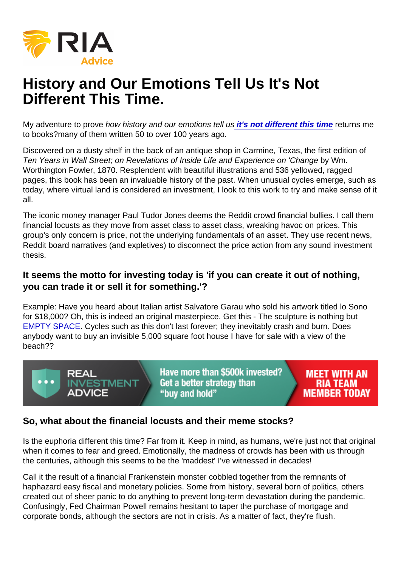# History and Our Emotions Tell Us It's Not Different This Time.

My adventure to prove how history and our emotions tell u[s it's not different this time](https://realinvestmentadvice.com/macroview-this-time-might-be-different/) returns me to books?many of them written 50 to over 100 years ago.

Discovered on a dusty shelf in the back of an antique shop in Carmine, Texas, the first edition of Ten Years in Wall Street; on Revelations of Inside Life and Experience on 'Change by Wm. Worthington Fowler, 1870. Resplendent with beautiful illustrations and 536 yellowed, ragged pages, this book has been an invaluable history of the past. When unusual cycles emerge, such as today, where virtual land is considered an investment, I look to this work to try and make sense of it all.

The iconic money manager Paul Tudor Jones deems the Reddit crowd financial bullies. I call them financial locusts as they move from asset class to asset class, wreaking havoc on prices. This group's only concern is price, not the underlying fundamentals of an asset. They use recent news, Reddit board narratives (and expletives) to disconnect the price action from any sound investment thesis.

It seems the motto for investing today is 'if you can create it out of nothing, you can trade it or sell it for something.'?

Example: Have you heard about Italian artist Salvatore Garau who sold his artwork titled lo Sono for \$18,000? Oh, this is indeed an original masterpiece. Get this - The sculpture is nothing but [EMPTY SPACE](https://www.deseret.com/2021/6/9/22519206/this-invisible-statue-just-sold-for-18k-salvatore-garau). Cycles such as this don't last forever; they inevitably crash and burn. Does anybody want to buy an invisible 5,000 square foot house I have for sale with a view of the beach??

#### So, what about the financial locusts and their meme stocks?

Is the euphoria different this time? Far from it. Keep in mind, as humans, we're just not that original when it comes to fear and greed. Emotionally, the madness of crowds has been with us through the centuries, although this seems to be the 'maddest' I've witnessed in decades!

Call it the result of a financial Frankenstein monster cobbled together from the remnants of haphazard easy fiscal and monetary policies. Some from history, several born of politics, others created out of sheer panic to do anything to prevent long-term devastation during the pandemic. Confusingly, Fed Chairman Powell remains hesitant to taper the purchase of mortgage and corporate bonds, although the sectors are not in crisis. As a matter of fact, they're flush.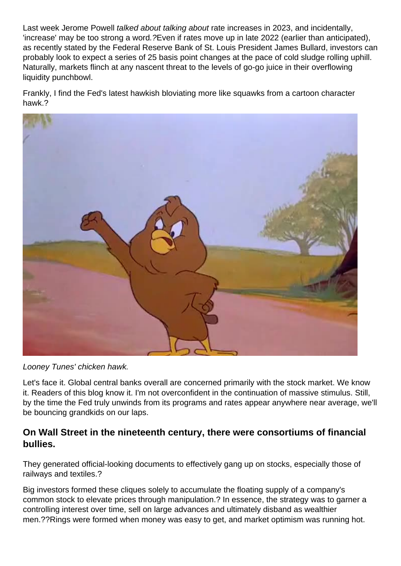Last week Jerome Powell talked about talking about rate increases in 2023, and incidentally, 'increase' may be too strong a word.?Even if rates move up in late 2022 (earlier than anticipated), as recently stated by the Federal Reserve Bank of St. Louis President James Bullard, investors can probably look to expect a series of 25 basis point changes at the pace of cold sludge rolling uphill. Naturally, markets flinch at any nascent threat to the levels of go-go juice in their overflowing liquidity punchbowl.

Frankly, I find the Fed's latest hawkish bloviating more like squawks from a cartoon character hawk.?



Looney Tunes' chicken hawk.

Let's face it. Global central banks overall are concerned primarily with the stock market. We know it. Readers of this blog know it. I'm not overconfident in the continuation of massive stimulus. Still, by the time the Fed truly unwinds from its programs and rates appear anywhere near average, we'll be bouncing grandkids on our laps.

## **On Wall Street in the nineteenth century, there were consortiums of financial bullies.**

They generated official-looking documents to effectively gang up on stocks, especially those of railways and textiles.?

Big investors formed these cliques solely to accumulate the floating supply of a company's common stock to elevate prices through manipulation.? In essence, the strategy was to garner a controlling interest over time, sell on large advances and ultimately disband as wealthier men.??Rings were formed when money was easy to get, and market optimism was running hot.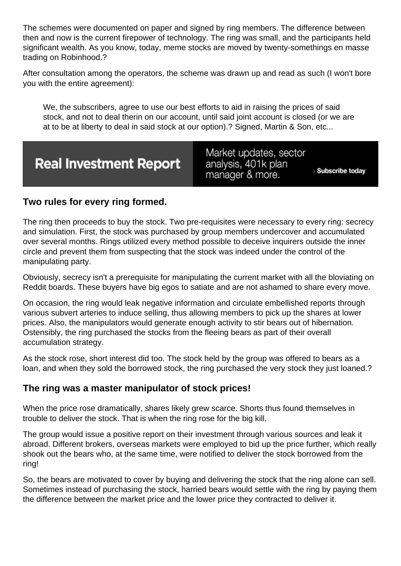The schemes were documented on paper and signed by ring members. The difference between then and now is the current firepower of technology. The ring was small, and the participants held significant wealth. As you know, today, meme stocks are moved by twenty-somethings en masse trading on Robinhood.?

After consultation among the operators, the scheme was drawn up and read as such (I won't bore you with the entire agreement):

We, the subscribers, agree to use our best efforts to aid in raising the prices of said stock, and not to deal therin on our account, until said joint account is closed (or we are at to be at liberty to deal in said stock at our option).? Signed, Martin & Son, etc...

Two rules for every ring formed.

The ring then proceeds to buy the stock. Two pre-requisites were necessary to every ring: secrecy and simulation. First, the stock was purchased by group members undercover and accumulated over several months. Rings utilized every method possible to deceive inquirers outside the inner circle and prevent them from suspecting that the stock was indeed under the control of the manipulating party.

Obviously, secrecy isn't a prerequisite for manipulating the current market with all the bloviating on Reddit boards. These buyers have big egos to satiate and are not ashamed to share every move.

On occasion, the ring would leak negative information and circulate embellished reports through various subvert arteries to induce selling, thus allowing members to pick up the shares at lower prices. Also, the manipulators would generate enough activity to stir bears out of hibernation. Ostensibly, the ring purchased the stocks from the fleeing bears as part of their overall accumulation strategy.

As the stock rose, short interest did too. The stock held by the group was offered to bears as a loan, and when they sold the borrowed stock, the ring purchased the very stock they just loaned.?

The ring was a master manipulator of stock prices!

When the price rose dramatically, shares likely grew scarce. Shorts thus found themselves in trouble to deliver the stock. That is when the ring rose for the big kill.

The group would issue a positive report on their investment through various sources and leak it abroad. Different brokers, overseas markets were employed to bid up the price further, which really shook out the bears who, at the same time, were notified to deliver the stock borrowed from the ring!

So, the bears are motivated to cover by buying and delivering the stock that the ring alone can sell. Sometimes instead of purchasing the stock, harried bears would settle with the ring by paying them the difference between the market price and the lower price they contracted to deliver it.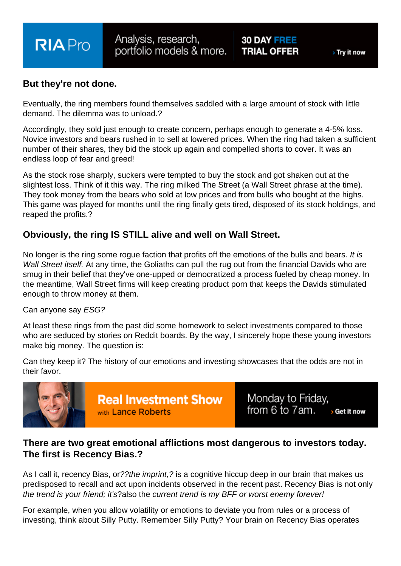But they're not done.

Eventually, the ring members found themselves saddled with a large amount of stock with little demand. The dilemma was to unload.?

Accordingly, they sold just enough to create concern, perhaps enough to generate a 4-5% loss. Novice investors and bears rushed in to sell at lowered prices. When the ring had taken a sufficient number of their shares, they bid the stock up again and compelled shorts to cover. It was an endless loop of fear and greed!

As the stock rose sharply, suckers were tempted to buy the stock and got shaken out at the slightest loss. Think of it this way. The ring milked The Street (a Wall Street phrase at the time). They took money from the bears who sold at low prices and from bulls who bought at the highs. This game was played for months until the ring finally gets tired, disposed of its stock holdings, and reaped the profits.?

Obviously, the ring IS STILL alive and well on Wall Street.

No longer is the ring some rogue faction that profits off the emotions of the bulls and bears. It is Wall Street itself. At any time, the Goliaths can pull the rug out from the financial Davids who are smug in their belief that they've one-upped or democratized a process fueled by cheap money. In the meantime, Wall Street firms will keep creating product porn that keeps the Davids stimulated enough to throw money at them.

Can anyone say ESG?

At least these rings from the past did some homework to select investments compared to those who are seduced by stories on Reddit boards. By the way, I sincerely hope these young investors make big money. The question is:

Can they keep it? The history of our emotions and investing showcases that the odds are not in their favor.

There are two great emotional afflictions most dangerous to investors today. The first is Recency Bias.?

As I call it, recency Bias, or??the imprint,? is a cognitive hiccup deep in our brain that makes us predisposed to recall and act upon incidents observed in the recent past. Recency Bias is not only the trend is your friend; it's?also the current trend is my BFF or worst enemy forever!

For example, when you allow volatility or emotions to deviate you from rules or a process of investing, think about Silly Putty. Remember Silly Putty? Your brain on Recency Bias operates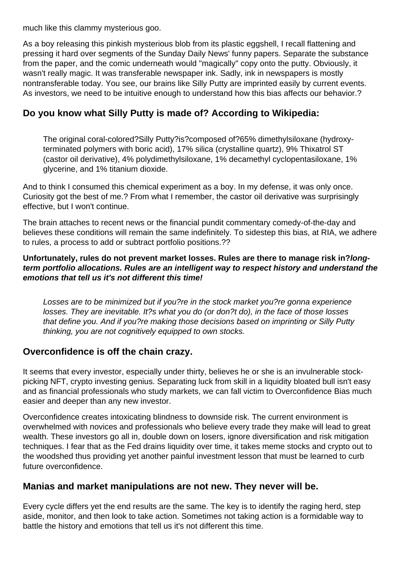much like this clammy mysterious goo.

As a boy releasing this pinkish mysterious blob from its plastic eggshell, I recall flattening and pressing it hard over segments of the Sunday Daily News' funny papers. Separate the substance from the paper, and the comic underneath would "magically" copy onto the putty. Obviously, it wasn't really magic. It was transferable newspaper ink. Sadly, ink in newspapers is mostly nontransferable today. You see, our brains like Silly Putty are imprinted easily by current events. As investors, we need to be intuitive enough to understand how this bias affects our behavior.?

## **Do you know what Silly Putty is made of? According to Wikipedia:**

The original coral-colored?Silly Putty?is?composed of?65% dimethylsiloxane (hydroxyterminated polymers with boric acid), 17% silica (crystalline quartz), 9% Thixatrol ST (castor oil derivative), 4% polydimethylsiloxane, 1% decamethyl cyclopentasiloxane, 1% glycerine, and 1% titanium dioxide.

And to think I consumed this chemical experiment as a boy. In my defense, it was only once. Curiosity got the best of me.? From what I remember, the castor oil derivative was surprisingly effective, but I won't continue.

The brain attaches to recent news or the financial pundit commentary comedy-of-the-day and believes these conditions will remain the same indefinitely. To sidestep this bias, at RIA, we adhere to rules, a process to add or subtract portfolio positions.??

#### **Unfortunately, rules do not prevent market losses. Rules are there to manage risk in?longterm portfolio allocations. Rules are an intelligent way to respect history and understand the emotions that tell us it's not different this time!**

Losses are to be minimized but if you?re in the stock market you?re gonna experience losses. They are inevitable. It?s what you do (or don?t do), in the face of those losses that define you. And if you?re making those decisions based on imprinting or Silly Putty thinking, you are not cognitively equipped to own stocks.

#### **Overconfidence is off the chain crazy.**

It seems that every investor, especially under thirty, believes he or she is an invulnerable stockpicking NFT, crypto investing genius. Separating luck from skill in a liquidity bloated bull isn't easy and as financial professionals who study markets, we can fall victim to Overconfidence Bias much easier and deeper than any new investor.

Overconfidence creates intoxicating blindness to downside risk. The current environment is overwhelmed with novices and professionals who believe every trade they make will lead to great wealth. These investors go all in, double down on losers, ignore diversification and risk mitigation techniques. I fear that as the Fed drains liquidity over time, it takes meme stocks and crypto out to the woodshed thus providing yet another painful investment lesson that must be learned to curb future overconfidence.

#### **Manias and market manipulations are not new. They never will be.**

Every cycle differs yet the end results are the same. The key is to identify the raging herd, step aside, monitor, and then look to take action. Sometimes not taking action is a formidable way to battle the history and emotions that tell us it's not different this time.